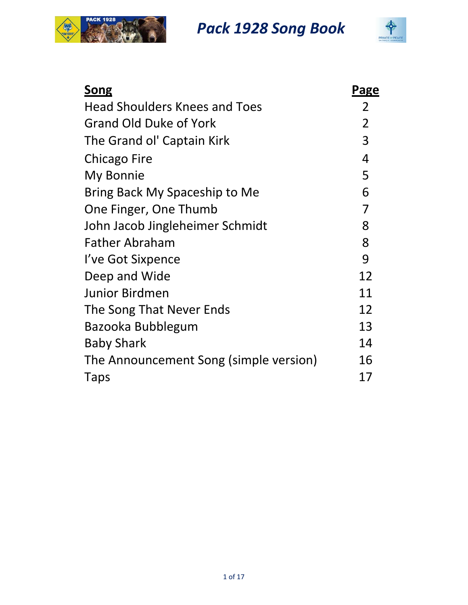



| <b>Song</b>                            | Page           |
|----------------------------------------|----------------|
| <b>Head Shoulders Knees and Toes</b>   | 2              |
| Grand Old Duke of York                 | $\overline{2}$ |
| The Grand ol' Captain Kirk             | 3              |
| Chicago Fire                           | 4              |
| My Bonnie                              | 5              |
| Bring Back My Spaceship to Me          | 6              |
| One Finger, One Thumb                  | 7              |
| John Jacob Jingleheimer Schmidt        | 8              |
| <b>Father Abraham</b>                  | 8              |
| I've Got Sixpence                      | 9              |
| Deep and Wide                          | 12             |
| <b>Junior Birdmen</b>                  | 11             |
| The Song That Never Ends               | 12             |
| Bazooka Bubblegum                      | 13             |
| <b>Baby Shark</b>                      | 14             |
| The Announcement Song (simple version) | 16             |
| Taps                                   | 17             |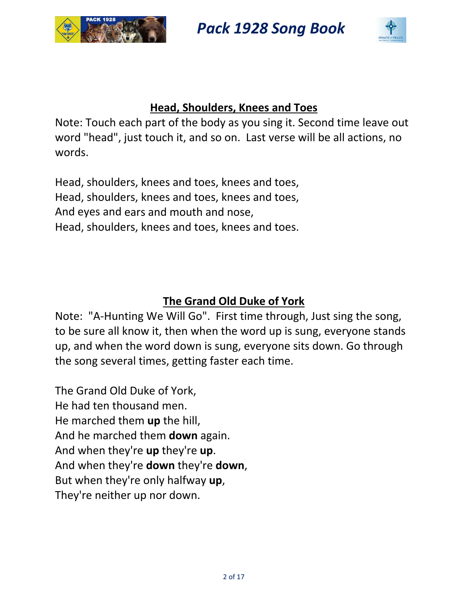



#### **Head, Shoulders, Knees and Toes**

Note: Touch each part of the body as you sing it. Second time leave out word "head", just touch it, and so on. Last verse will be all actions, no words.

Head, shoulders, knees and toes, knees and toes, Head, shoulders, knees and toes, knees and toes, And eyes and ears and mouth and nose, Head, shoulders, knees and toes, knees and toes.

### **The Grand Old Duke of York**

Note: "A‐Hunting We Will Go". First time through, Just sing the song, to be sure all know it, then when the word up is sung, everyone stands up, and when the word down is sung, everyone sits down. Go through the song several times, getting faster each time.

The Grand Old Duke of York, He had ten thousand men. He marched them **up** the hill, And he marched them **down** again. And when they're **up** they're **up**. And when they're **down** they're **down**, But when they're only halfway **up**, They're neither up nor down.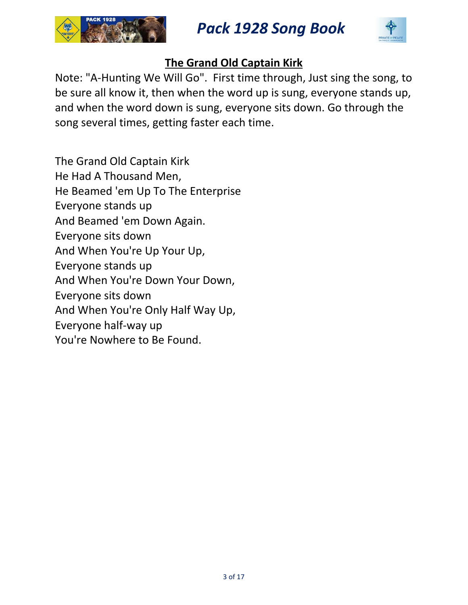



### **The Grand Old Captain Kirk**

Note: "A‐Hunting We Will Go". First time through, Just sing the song, to be sure all know it, then when the word up is sung, everyone stands up, and when the word down is sung, everyone sits down. Go through the song several times, getting faster each time.

The Grand Old Captain Kirk He Had A Thousand Men, He Beamed 'em Up To The Enterprise Everyone stands up And Beamed 'em Down Again. Everyone sits down And When You're Up Your Up, Everyone stands up And When You're Down Your Down, Everyone sits down And When You're Only Half Way Up, Everyone half‐way up You're Nowhere to Be Found.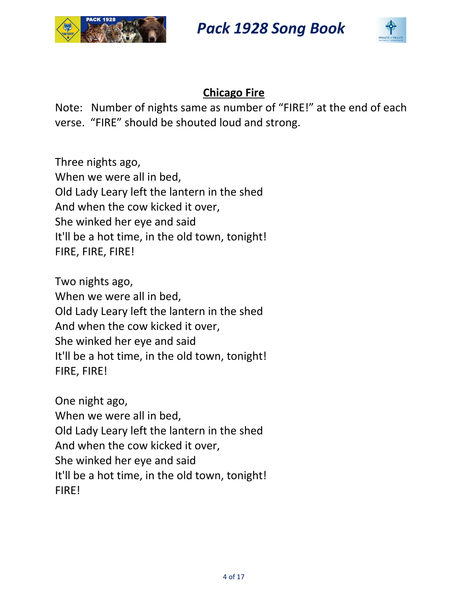



### **Chicago Fire**

Note: Number of nights same as number of "FIRE!" at the end of each verse. "FIRE" should be shouted loud and strong.

Three nights ago, When we were all in bed, Old Lady Leary left the lantern in the shed And when the cow kicked it over, She winked her eye and said It'll be a hot time, in the old town, tonight! FIRE, FIRE, FIRE!

Two nights ago, When we were all in bed, Old Lady Leary left the lantern in the shed And when the cow kicked it over, She winked her eye and said It'll be a hot time, in the old town, tonight! FIRE, FIRE!

One night ago, When we were all in bed, Old Lady Leary left the lantern in the shed And when the cow kicked it over, She winked her eye and said It'll be a hot time, in the old town, tonight! FIRE!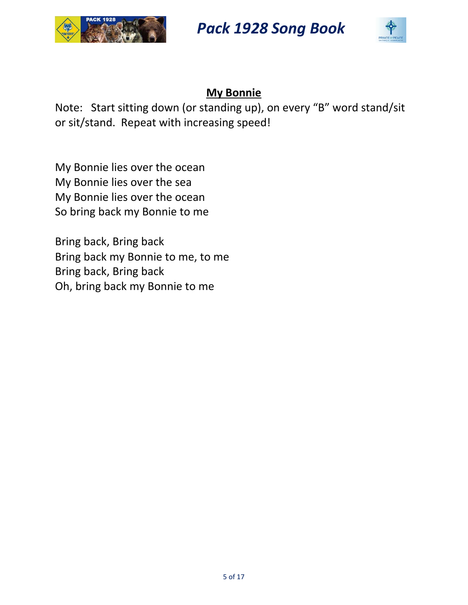



### **My Bonnie**

Note: Start sitting down (or standing up), on every "B" word stand/sit or sit/stand. Repeat with increasing speed!

My Bonnie lies over the ocean My Bonnie lies over the sea My Bonnie lies over the ocean So bring back my Bonnie to me

Bring back, Bring back Bring back my Bonnie to me, to me Bring back, Bring back Oh, bring back my Bonnie to me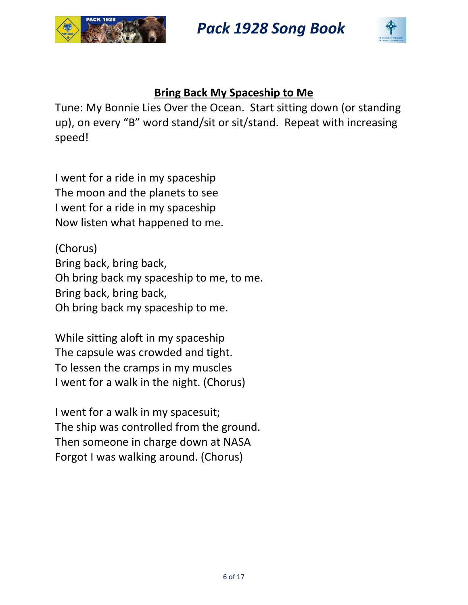



#### **Bring Back My Spaceship to Me**

Tune: My Bonnie Lies Over the Ocean. Start sitting down (or standing up), on every "B" word stand/sit or sit/stand. Repeat with increasing speed!

I went for a ride in my spaceship The moon and the planets to see I went for a ride in my spaceship Now listen what happened to me.

(Chorus) Bring back, bring back, Oh bring back my spaceship to me, to me. Bring back, bring back, Oh bring back my spaceship to me.

While sitting aloft in my spaceship The capsule was crowded and tight. To lessen the cramps in my muscles I went for a walk in the night. (Chorus)

I went for a walk in my spacesuit; The ship was controlled from the ground. Then someone in charge down at NASA Forgot I was walking around. (Chorus)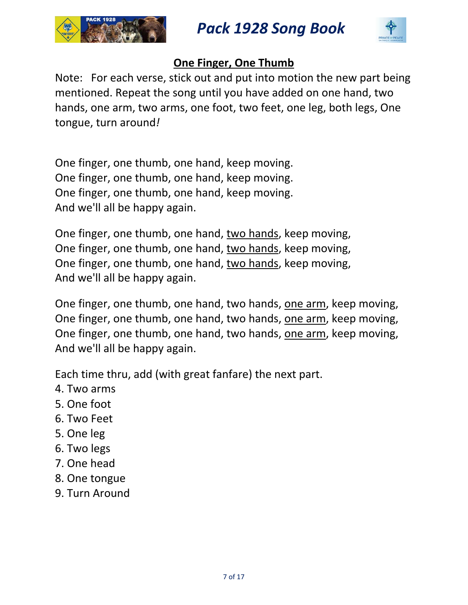



### **One Finger, One Thumb**

Note: For each verse, stick out and put into motion the new part being mentioned. Repeat the song until you have added on one hand, two hands, one arm, two arms, one foot, two feet, one leg, both legs, One tongue, turn around*!*

One finger, one thumb, one hand, keep moving. One finger, one thumb, one hand, keep moving. One finger, one thumb, one hand, keep moving. And we'll all be happy again.

One finger, one thumb, one hand, two hands, keep moving, One finger, one thumb, one hand, two hands, keep moving, One finger, one thumb, one hand, two hands, keep moving, And we'll all be happy again.

One finger, one thumb, one hand, two hands, one arm, keep moving, One finger, one thumb, one hand, two hands, one arm, keep moving, One finger, one thumb, one hand, two hands, one arm, keep moving, And we'll all be happy again.

Each time thru, add (with great fanfare) the next part.

- 4. Two arms
- 5. One foot
- 6. Two Feet
- 5. One leg
- 6. Two legs
- 7. One head
- 8. One tongue
- 9. Turn Around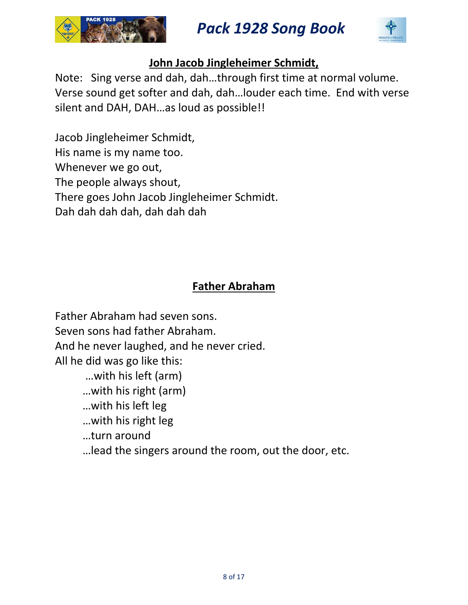



### **John Jacob Jingleheimer Schmidt,**

Note: Sing verse and dah, dah…through first time at normal volume. Verse sound get softer and dah, dah…louder each time. End with verse silent and DAH, DAH…as loud as possible!!

Jacob Jingleheimer Schmidt, His name is my name too. Whenever we go out, The people always shout, There goes John Jacob Jingleheimer Schmidt. Dah dah dah dah, dah dah dah

### **Father Abraham**

Father Abraham had seven sons. Seven sons had father Abraham. And he never laughed, and he never cried. All he did was go like this:

…with his left (arm)

…with his right (arm)

…with his left leg

…with his right leg

…turn around

…lead the singers around the room, out the door, etc.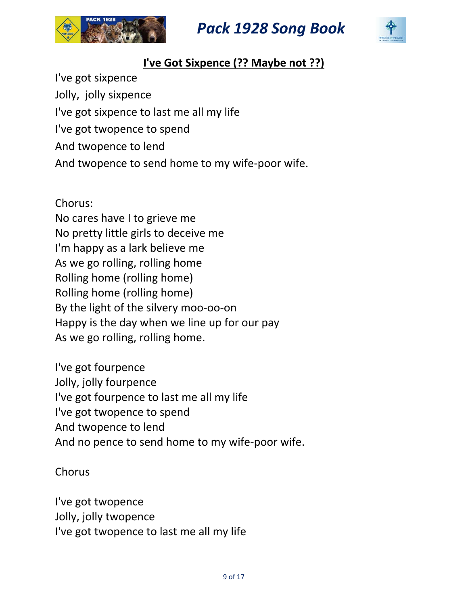



### **I've Got Sixpence (?? Maybe not ??)**

I've got sixpence Jolly, jolly sixpence I've got sixpence to last me all my life I've got twopence to spend And twopence to lend And twopence to send home to my wife‐poor wife.

Chorus: No cares have I to grieve me No pretty little girls to deceive me I'm happy as a lark believe me As we go rolling, rolling home Rolling home (rolling home) Rolling home (rolling home) By the light of the silvery moo‐oo‐on Happy is the day when we line up for our pay As we go rolling, rolling home.

I've got fourpence Jolly, jolly fourpence I've got fourpence to last me all my life I've got twopence to spend And twopence to lend And no pence to send home to my wife‐poor wife.

Chorus

I've got twopence Jolly, jolly twopence I've got twopence to last me all my life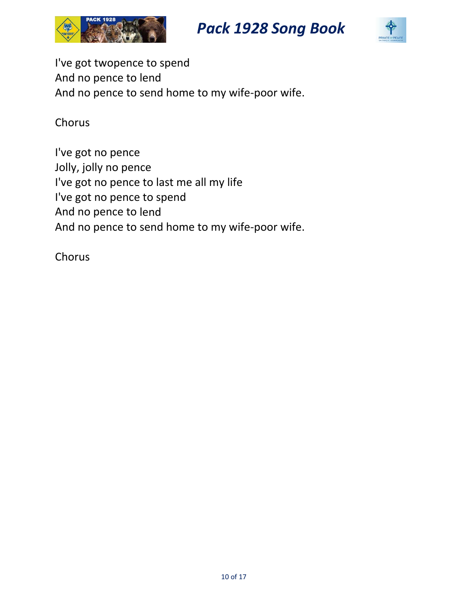





I've got twopence to spend And no pence to lend And no pence to send home to my wife‐poor wife.

Chorus

I've got no pence Jolly, jolly no pence I've got no pence to last me all my life I've got no pence to spend And no pence to lend And no pence to send home to my wife‐poor wife.

Chorus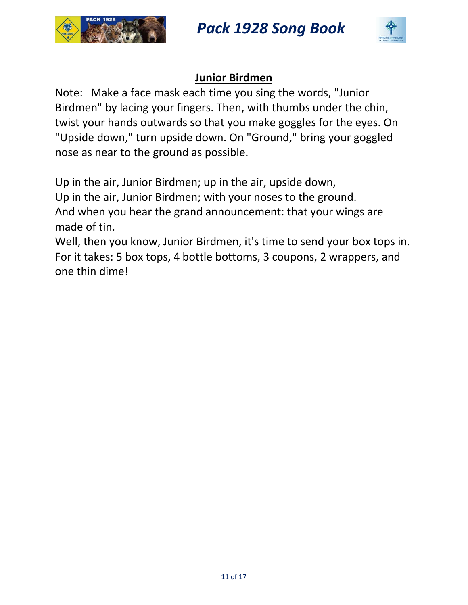



#### **Junior Birdmen**

Note: Make a face mask each time you sing the words, "Junior Birdmen" by lacing your fingers. Then, with thumbs under the chin, twist your hands outwards so that you make goggles for the eyes. On "Upside down," turn upside down. On "Ground," bring your goggled nose as near to the ground as possible.

Up in the air, Junior Birdmen; up in the air, upside down, Up in the air, Junior Birdmen; with your noses to the ground. And when you hear the grand announcement: that your wings are made of tin.

Well, then you know, Junior Birdmen, it's time to send your box tops in. For it takes: 5 box tops, 4 bottle bottoms, 3 coupons, 2 wrappers, and one thin dime!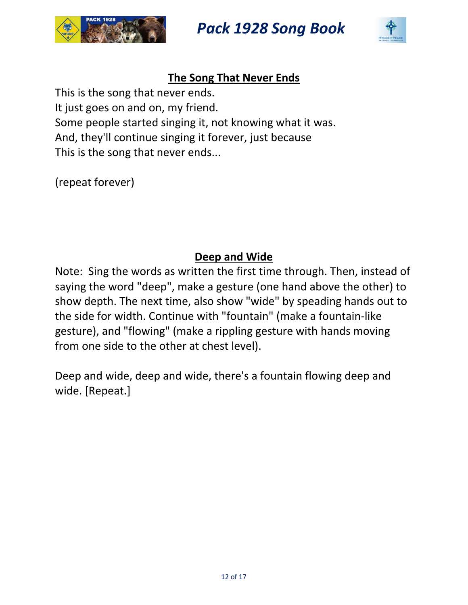



### **The Song That Never Ends**

This is the song that never ends. It just goes on and on, my friend. Some people started singing it, not knowing what it was. And, they'll continue singing it forever, just because This is the song that never ends...

(repeat forever)

### **Deep and Wide**

Note: Sing the words as written the first time through. Then, instead of saying the word "deep", make a gesture (one hand above the other) to show depth. The next time, also show "wide" by speading hands out to the side for width. Continue with "fountain" (make a fountain‐like gesture), and "flowing" (make a rippling gesture with hands moving from one side to the other at chest level).

Deep and wide, deep and wide, there's a fountain flowing deep and wide. [Repeat.]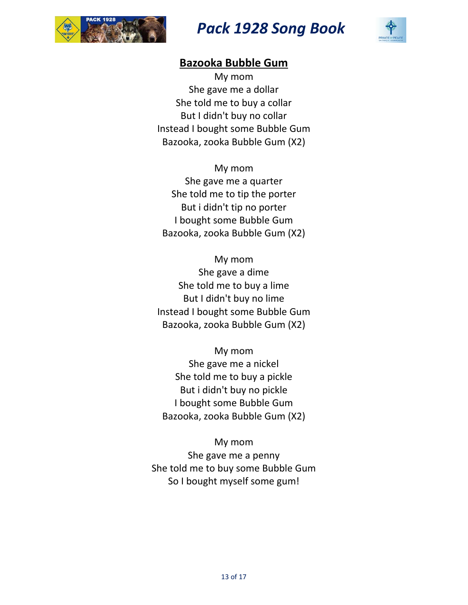



#### **Bazooka Bubble Gum**

My mom She gave me a dollar She told me to buy a collar But I didn't buy no collar Instead I bought some Bubble Gum Bazooka, zooka Bubble Gum (X2)

My mom She gave me a quarter She told me to tip the porter But i didn't tip no porter I bought some Bubble Gum Bazooka, zooka Bubble Gum (X2)

My mom She gave a dime She told me to buy a lime But I didn't buy no lime Instead I bought some Bubble Gum Bazooka, zooka Bubble Gum (X2)

My mom She gave me a nickel She told me to buy a pickle But i didn't buy no pickle I bought some Bubble Gum Bazooka, zooka Bubble Gum (X2)

My mom She gave me a penny She told me to buy some Bubble Gum So I bought myself some gum!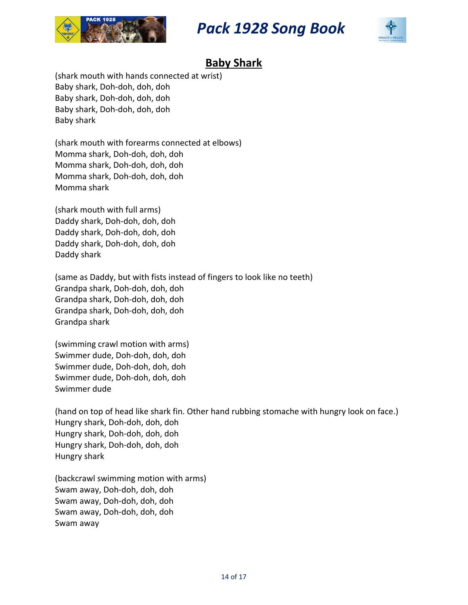



### **Baby Shark**

(shark mouth with hands connected at wrist) Baby shark, Doh‐doh, doh, doh Baby shark, Doh‐doh, doh, doh Baby shark, Doh‐doh, doh, doh Baby shark

(shark mouth with forearms connected at elbows) Momma shark, Doh‐doh, doh, doh Momma shark, Doh‐doh, doh, doh Momma shark, Doh‐doh, doh, doh Momma shark

(shark mouth with full arms) Daddy shark, Doh‐doh, doh, doh Daddy shark, Doh‐doh, doh, doh Daddy shark, Doh‐doh, doh, doh Daddy shark

(same as Daddy, but with fists instead of fingers to look like no teeth) Grandpa shark, Doh‐doh, doh, doh Grandpa shark, Doh‐doh, doh, doh Grandpa shark, Doh‐doh, doh, doh Grandpa shark

(swimming crawl motion with arms) Swimmer dude, Doh‐doh, doh, doh Swimmer dude, Doh‐doh, doh, doh Swimmer dude, Doh‐doh, doh, doh Swimmer dude

(hand on top of head like shark fin. Other hand rubbing stomache with hungry look on face.) Hungry shark, Doh‐doh, doh, doh Hungry shark, Doh‐doh, doh, doh Hungry shark, Doh‐doh, doh, doh Hungry shark

(backcrawl swimming motion with arms) Swam away, Doh‐doh, doh, doh Swam away, Doh‐doh, doh, doh Swam away, Doh‐doh, doh, doh Swam away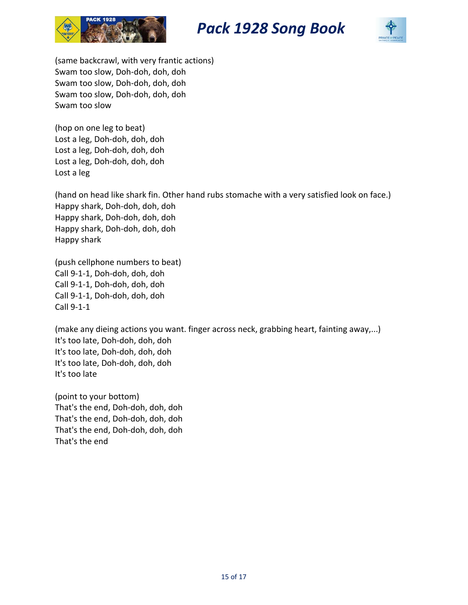





(same backcrawl, with very frantic actions) Swam too slow, Doh‐doh, doh, doh Swam too slow, Doh‐doh, doh, doh Swam too slow, Doh‐doh, doh, doh Swam too slow

(hop on one leg to beat) Lost a leg, Doh‐doh, doh, doh Lost a leg, Doh‐doh, doh, doh Lost a leg, Doh‐doh, doh, doh Lost a leg

(hand on head like shark fin. Other hand rubs stomache with a very satisfied look on face.) Happy shark, Doh‐doh, doh, doh Happy shark, Doh‐doh, doh, doh Happy shark, Doh‐doh, doh, doh Happy shark

(push cellphone numbers to beat) Call 9‐1‐1, Doh‐doh, doh, doh Call 9‐1‐1, Doh‐doh, doh, doh Call 9‐1‐1, Doh‐doh, doh, doh Call 9‐1‐1

(make any dieing actions you want. finger across neck, grabbing heart, fainting away,...) It's too late, Doh‐doh, doh, doh It's too late, Doh‐doh, doh, doh It's too late, Doh‐doh, doh, doh It's too late

(point to your bottom) That's the end, Doh‐doh, doh, doh That's the end, Doh‐doh, doh, doh That's the end, Doh‐doh, doh, doh That's the end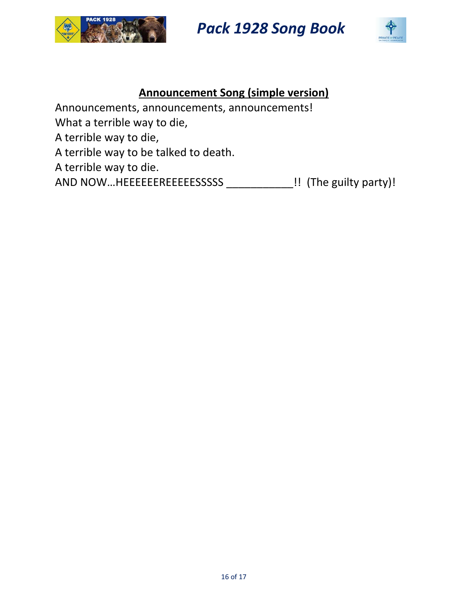



### **Announcement Song (simple version)**

Announcements, announcements, announcements!

What a terrible way to die,

A terrible way to die,

A terrible way to be talked to death.

A terrible way to die.

AND NOW...HEEEEEEREEEEESSSSS \_\_\_\_\_\_\_\_\_\_\_\_\_!! (The guilty party)!